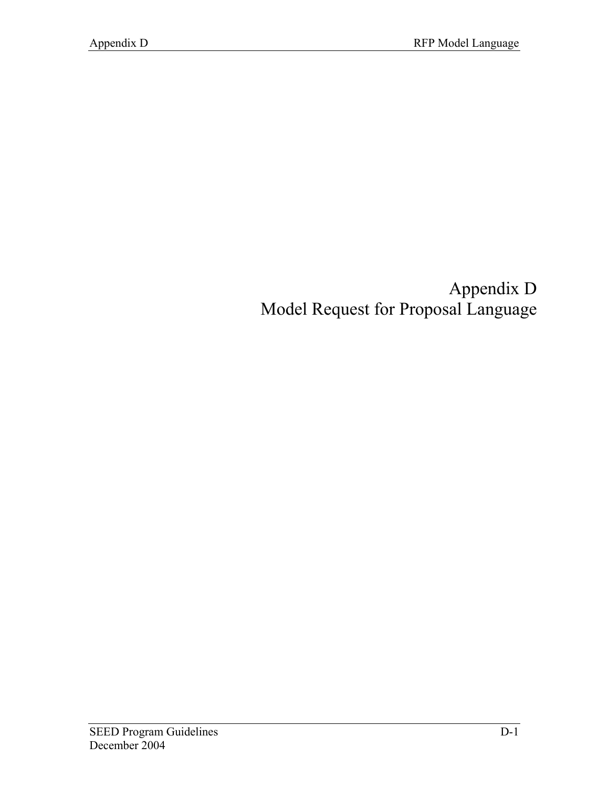# Appendix D Model Request for Proposal Language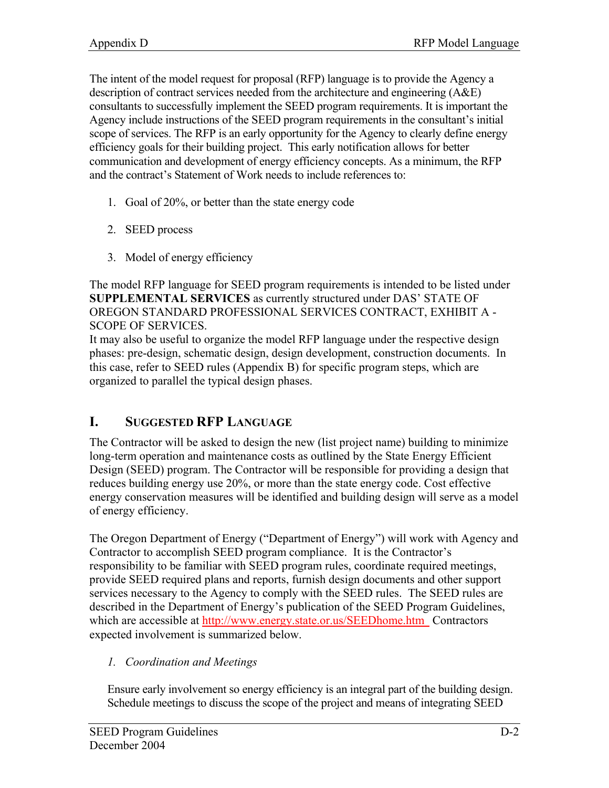The intent of the model request for proposal (RFP) language is to provide the Agency a description of contract services needed from the architecture and engineering (A&E) consultants to successfully implement the SEED program requirements. It is important the Agency include instructions of the SEED program requirements in the consultant's initial scope of services. The RFP is an early opportunity for the Agency to clearly define energy efficiency goals for their building project. This early notification allows for better communication and development of energy efficiency concepts. As a minimum, the RFP and the contract's Statement of Work needs to include references to:

- 1. Goal of 20%, or better than the state energy code
- 2. SEED process
- 3. Model of energy efficiency

The model RFP language for SEED program requirements is intended to be listed under **SUPPLEMENTAL SERVICES** as currently structured under DAS' STATE OF OREGON STANDARD PROFESSIONAL SERVICES CONTRACT, EXHIBIT A - SCOPE OF SERVICES.

It may also be useful to organize the model RFP language under the respective design phases: pre-design, schematic design, design development, construction documents. In this case, refer to SEED rules (Appendix B) for specific program steps, which are organized to parallel the typical design phases.

# **I. SUGGESTED RFP LANGUAGE**

The Contractor will be asked to design the new (list project name) building to minimize long-term operation and maintenance costs as outlined by the State Energy Efficient Design (SEED) program. The Contractor will be responsible for providing a design that reduces building energy use 20%, or more than the state energy code. Cost effective energy conservation measures will be identified and building design will serve as a model of energy efficiency.

The Oregon Department of Energy ("Department of Energy") will work with Agency and Contractor to accomplish SEED program compliance. It is the Contractor's responsibility to be familiar with SEED program rules, coordinate required meetings, provide SEED required plans and reports, furnish design documents and other support services necessary to the Agency to comply with the SEED rules. The SEED rules are described in the Department of Energy's publication of the SEED Program Guidelines, which are accessible at http://www.energy.state.or.us/SEEDhome.htm Contractors expected involvement is summarized below.

## *1. Coordination and Meetings*

Ensure early involvement so energy efficiency is an integral part of the building design. Schedule meetings to discuss the scope of the project and means of integrating SEED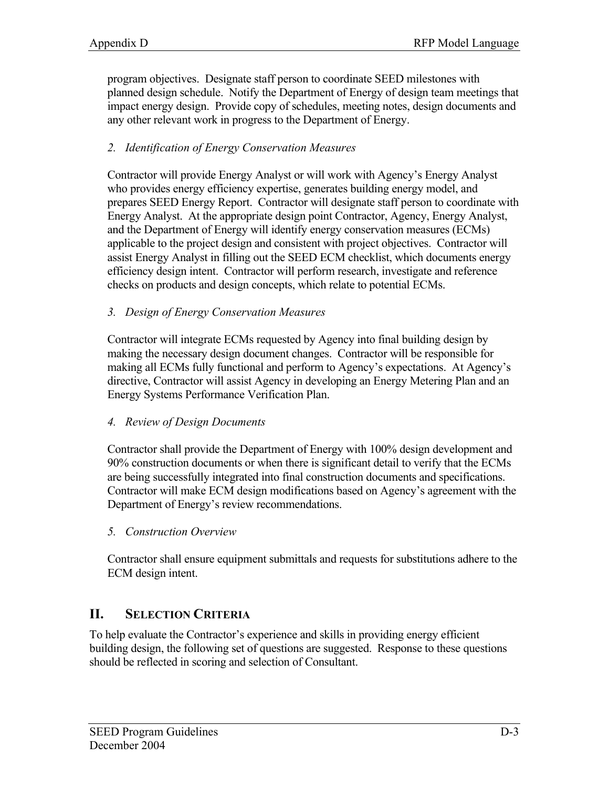program objectives. Designate staff person to coordinate SEED milestones with planned design schedule. Notify the Department of Energy of design team meetings that impact energy design. Provide copy of schedules, meeting notes, design documents and any other relevant work in progress to the Department of Energy.

#### *2. Identification of Energy Conservation Measures*

Contractor will provide Energy Analyst or will work with Agency's Energy Analyst who provides energy efficiency expertise, generates building energy model, and prepares SEED Energy Report. Contractor will designate staff person to coordinate with Energy Analyst. At the appropriate design point Contractor, Agency, Energy Analyst, and the Department of Energy will identify energy conservation measures (ECMs) applicable to the project design and consistent with project objectives. Contractor will assist Energy Analyst in filling out the SEED ECM checklist, which documents energy efficiency design intent. Contractor will perform research, investigate and reference checks on products and design concepts, which relate to potential ECMs.

#### *3. Design of Energy Conservation Measures*

Contractor will integrate ECMs requested by Agency into final building design by making the necessary design document changes. Contractor will be responsible for making all ECMs fully functional and perform to Agency's expectations. At Agency's directive, Contractor will assist Agency in developing an Energy Metering Plan and an Energy Systems Performance Verification Plan.

#### *4. Review of Design Documents*

Contractor shall provide the Department of Energy with 100% design development and 90% construction documents or when there is significant detail to verify that the ECMs are being successfully integrated into final construction documents and specifications. Contractor will make ECM design modifications based on Agency's agreement with the Department of Energy's review recommendations.

*5. Construction Overview*

Contractor shall ensure equipment submittals and requests for substitutions adhere to the ECM design intent.

## **II. SELECTION CRITERIA**

To help evaluate the Contractor's experience and skills in providing energy efficient building design, the following set of questions are suggested. Response to these questions should be reflected in scoring and selection of Consultant.